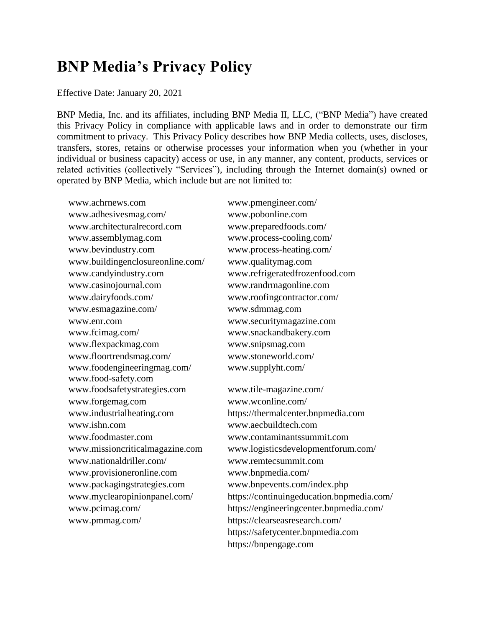# **BNP Media's Privacy Policy**

#### Effective Date: January 20, 2021

BNP Media, Inc. and its affiliates, including BNP Media II, LLC, ("BNP Media") have created this Privacy Policy in compliance with applicable laws and in order to demonstrate our firm commitment to privacy. This Privacy Policy describes how BNP Media collects, uses, discloses, transfers, stores, retains or otherwise processes your information when you (whether in your individual or business capacity) access or use, in any manner, any content, products, services or related activities (collectively "Services"), including through the Internet domain(s) owned or operated by BNP Media, which include but are not limited to:

www.achrnews.com www.pmengineer.com/ www.adhesivesmag.com/ www.pobonline.com www.architecturalrecord.com www.preparedfoods.com/ www.assemblymag.com www.process-cooling.com/ www.bevindustry.com www.process-heating.com/ www.buildingenclosureonline.com/ www.qualitymag.com www.candyindustry.com www.refrigeratedfrozenfood.com www.casinojournal.com www.randrmagonline.com www.dairyfoods.com/ www.roofingcontractor.com/ www.esmagazine.com/ www.sdmmag.com www.enr.com www.securitymagazine.com www.fcimag.com/ www.snackandbakery.com www.flexpackmag.com www.snipsmag.com www.floortrendsmag.com/ www.stoneworld.com/ www.foodengineeringmag.com/ www.food-safety.com www.foodsafetystrategies.com www.tile-magazine.com/ www.forgemag.com www.wconline.com/ www.ishn.com www.aecbuildtech.com www.foodmaster.com www.contaminantssummit.com www.nationaldriller.com/ www.remtecsummit.com www.provisioneronline.com www.bnpmedia.com/ www.packagingstrategies.com www.bnpevents.com/index.php www.pmmag.com/ https://clearseasresearch.com/

www.supplyht.com/

www.industrialheating.com https://thermalcenter.bnpmedia.com www.missioncriticalmagazine.com www.logisticsdevelopmentforum.com/ www.myclearopinionpanel.com/ https://continuingeducation.bnpmedia.com/ www.pcimag.com/ https://engineeringcenter.bnpmedia.com/ https://safetycenter.bnpmedia.com https://bnpengage.com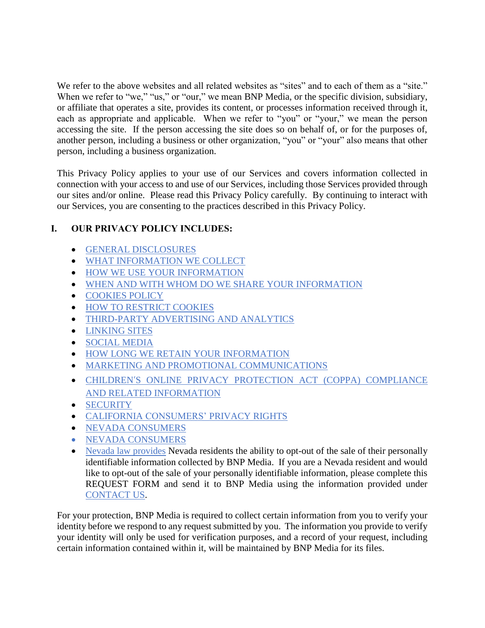We refer to the above websites and all related websites as "sites" and to each of them as a "site." When we refer to "we," "us," or "our," we mean BNP Media, or the specific division, subsidiary, or affiliate that operates a site, provides its content, or processes information received through it, each as appropriate and applicable. When we refer to "you" or "your," we mean the person accessing the site. If the person accessing the site does so on behalf of, or for the purposes of, another person, including a business or other organization, "you" or "your" also means that other person, including a business organization.

This Privacy Policy applies to your use of our Services and covers information collected in connection with your access to and use of our Services, including those Services provided through our sites and/or online. Please read this Privacy Policy carefully. By continuing to interact with our Services, you are consenting to the practices described in this Privacy Policy.

# **I. OUR PRIVACY POLICY INCLUDES:**

- [GENERAL DISCLOSURES](#page-2-0)
- [WHAT INFORMATION WE COLLECT](#page-2-1)
- [HOW WE USE YOUR INFORMATION](#page-4-0)
- [WHEN AND WITH WHOM DO WE SHARE YOUR INFORMATION](#page-5-0)
- **[COOKIES POLICY](#page-6-0)**
- **[HOW TO RESTRICT COOKIES](#page-7-0)**
- **[THIRD-PARTY ADVERTISING AND ANALYTICS](#page-8-0)**
- [LINKING SITES](#page-8-1)
- [SOCIAL MEDIA](#page-9-0)
- **[HOW LONG WE RETAIN YOUR INFORMATION](#page-9-1)**
- [MARKETING AND PROMOTIONAL COMMUNICATIONS](#page-9-2)
- CHILDREN'[S ONLINE PRIVACY PROTECTION ACT \(COPPA\) COMPLIANCE](#page-10-0)  [AND RELATED INFORMATION](#page-10-0)
- **•** [SECURITY](#page-10-1)
- CALIFORNIA CONSUMERS' [PRIVACY RIGHTS](#page-10-2)
- [NEVADA CONSUMERS](#page-12-0)
- [NEVADA CONSUMERS](#page-12-0)
- Nevada law provides Nevada residents the ability to opt-out of the sale of their personally [identifiable information collected by BNP Media. If you are a Nevada resident and would](#page-12-0)  [like to opt-out of the sale of your personally identifiable information, please complete this](#page-12-0)  REQUEST FORM [and send it to BNP Media using the information provided under](#page-12-0)  [CONTACT](#page-12-0) US.

[For your protection, BNP Media is required to collect certain information from you to verify your](#page-12-0)  [identity before we respond to any request submitted by you. The information you provide to verify](#page-12-0)  [your identity will only be used for verification purposes, and a record of your request, including](#page-12-0)  [certain information contained within it, will be maintained by BNP Media for its files.](#page-12-0)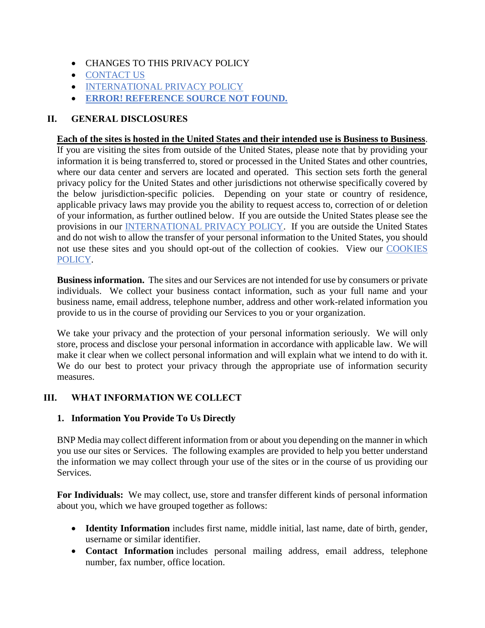- [CHANGES TO THIS PRIVACY POLICY](#page-12-0)
- [CONTACT](#page-12-1) US
- **[INTERNATIONAL PRIVACY POLICY](#page-14-0)**
- **ERROR! REFERENCE SOURCE NOT FOUND.**

# <span id="page-2-0"></span>**II. GENERAL DISCLOSURES**

### **Each of the sites is hosted in the United States and their intended use is Business to Business**.

If you are visiting the sites from outside of the United States, please note that by providing your information it is being transferred to, stored or processed in the United States and other countries, where our data center and servers are located and operated. This section sets forth the general privacy policy for the United States and other jurisdictions not otherwise specifically covered by the below jurisdiction-specific policies. Depending on your state or country of residence, applicable privacy laws may provide you the ability to request access to, correction of or deletion of your information, as further outlined below. If you are outside the United States please see the provisions in our [INTERNATIONAL PRIVACY POLICY.](#page-14-0) If you are outside the United States and do not wish to allow the transfer of your personal information to the United States, you should not use these sites and you should opt-out of the collection of cookies. View our [COOKIES](#page-6-0)  [POLICY.](#page-6-0)

**Business information.** The sites and our Services are not intended for use by consumers or private individuals. We collect your business contact information, such as your full name and your business name, email address, telephone number, address and other work-related information you provide to us in the course of providing our Services to you or your organization.

We take your privacy and the protection of your personal information seriously. We will only store, process and disclose your personal information in accordance with applicable law. We will make it clear when we collect personal information and will explain what we intend to do with it. We do our best to protect your privacy through the appropriate use of information security measures.

# <span id="page-2-1"></span>**III. WHAT INFORMATION WE COLLECT**

## **1. Information You Provide To Us Directly**

BNP Media may collect different information from or about you depending on the manner in which you use our sites or Services. The following examples are provided to help you better understand the information we may collect through your use of the sites or in the course of us providing our Services.

**For Individuals:** We may collect, use, store and transfer different kinds of personal information about you, which we have grouped together as follows:

- **Identity Information** includes first name, middle initial, last name, date of birth, gender, username or similar identifier.
- **Contact Information** includes personal mailing address, email address, telephone number, fax number, office location.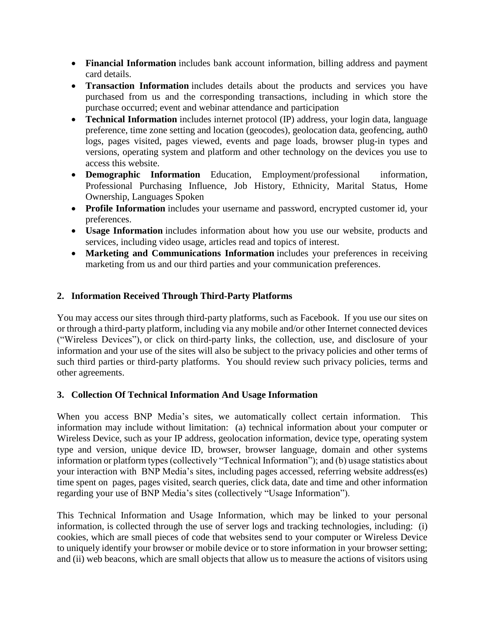- **Financial Information** includes bank account information, billing address and payment card details.
- **Transaction Information** includes details about the products and services you have purchased from us and the corresponding transactions, including in which store the purchase occurred; event and webinar attendance and participation
- **Technical Information** includes internet protocol (IP) address, your login data, language preference, time zone setting and location (geocodes), geolocation data, geofencing, auth0 logs, pages visited, pages viewed, events and page loads, browser plug-in types and versions, operating system and platform and other technology on the devices you use to access this website.
- **Demographic Information** Education, Employment/professional information, Professional Purchasing Influence, Job History, Ethnicity, Marital Status, Home Ownership, Languages Spoken
- **Profile Information** includes your username and password, encrypted customer id, your preferences.
- **Usage Information** includes information about how you use our website, products and services, including video usage, articles read and topics of interest.
- **Marketing and Communications Information** includes your preferences in receiving marketing from us and our third parties and your communication preferences.

# **2. Information Received Through Third-Party Platforms**

You may access our sites through third-party platforms, such as Facebook. If you use our sites on or through a third-party platform, including via any mobile and/or other Internet connected devices ("Wireless Devices"), or click on third-party links, the collection, use, and disclosure of your information and your use of the sites will also be subject to the privacy policies and other terms of such third parties or third-party platforms. You should review such privacy policies, terms and other agreements.

## **3. Collection Of Technical Information And Usage Information**

When you access BNP Media's sites, we automatically collect certain information. This information may include without limitation: (a) technical information about your computer or Wireless Device, such as your IP address, geolocation information, device type, operating system type and version, unique device ID, browser, browser language, domain and other systems information or platform types (collectively "Technical Information"); and (b) usage statistics about your interaction with BNP Media's sites, including pages accessed, referring website address(es) time spent on pages, pages visited, search queries, click data, date and time and other information regarding your use of BNP Media's sites (collectively "Usage Information").

This Technical Information and Usage Information, which may be linked to your personal information, is collected through the use of server logs and tracking technologies, including: (i) cookies, which are small pieces of code that websites send to your computer or Wireless Device to uniquely identify your browser or mobile device or to store information in your browser setting; and (ii) web beacons, which are small objects that allow us to measure the actions of visitors using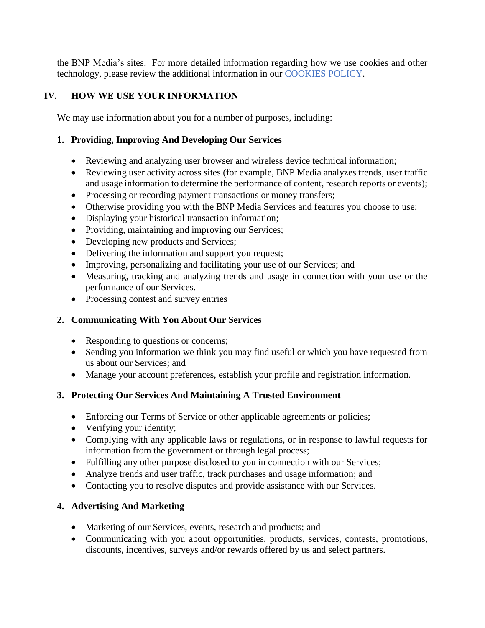the BNP Media's sites. For more detailed information regarding how we use cookies and other technology, please review the additional information in our [COOKIES POLICY.](#page-6-0)

# <span id="page-4-0"></span>**IV. HOW WE USE YOUR INFORMATION**

We may use information about you for a number of purposes, including:

## **1. Providing, Improving And Developing Our Services**

- Reviewing and analyzing user browser and wireless device technical information;
- Reviewing user activity across sites (for example, BNP Media analyzes trends, user traffic and usage information to determine the performance of content, research reports or events);
- Processing or recording payment transactions or money transfers;
- Otherwise providing you with the BNP Media Services and features you choose to use;
- Displaying your historical transaction information;
- Providing, maintaining and improving our Services;
- Developing new products and Services;
- Delivering the information and support you request;
- Improving, personalizing and facilitating your use of our Services; and
- Measuring, tracking and analyzing trends and usage in connection with your use or the performance of our Services.
- Processing contest and survey entries

## **2. Communicating With You About Our Services**

- Responding to questions or concerns;
- Sending you information we think you may find useful or which you have requested from us about our Services; and
- Manage your account preferences, establish your profile and registration information.

## **3. Protecting Our Services And Maintaining A Trusted Environment**

- Enforcing our Terms of Service or other applicable agreements or policies;
- Verifying your identity;
- Complying with any applicable laws or regulations, or in response to lawful requests for information from the government or through legal process;
- Fulfilling any other purpose disclosed to you in connection with our Services;
- Analyze trends and user traffic, track purchases and usage information; and
- Contacting you to resolve disputes and provide assistance with our Services.

## **4. Advertising And Marketing**

- Marketing of our Services, events, research and products; and
- Communicating with you about opportunities, products, services, contests, promotions, discounts, incentives, surveys and/or rewards offered by us and select partners.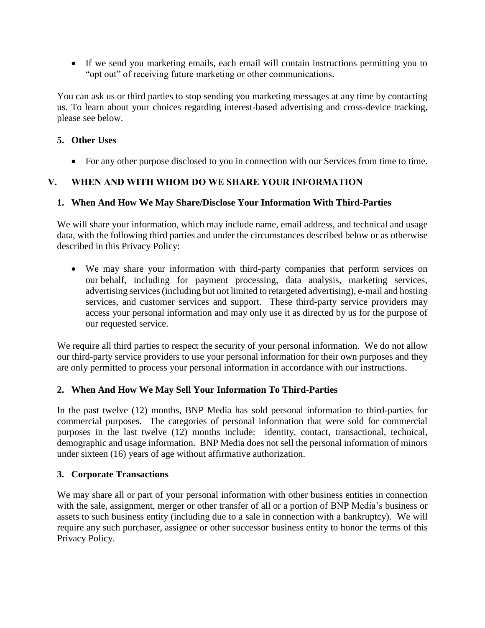If we send you marketing emails, each email will contain instructions permitting you to "opt out" of receiving future marketing or other communications.

You can ask us or third parties to stop sending you marketing messages at any time by contacting us. To learn about your choices regarding interest-based advertising and cross-device tracking, please see below.

## **5. Other Uses**

For any other purpose disclosed to you in connection with our Services from time to time.

# <span id="page-5-0"></span>**V. WHEN AND WITH WHOM DO WE SHARE YOUR INFORMATION**

## **1. When And How We May Share/Disclose Your Information With Third-Parties**

We will share your information, which may include name, email address, and technical and usage data, with the following third parties and under the circumstances described below or as otherwise described in this Privacy Policy:

 We may share your information with third-party companies that perform services on our behalf, including for payment processing, data analysis, marketing services, advertising services (including but not limited to retargeted advertising), e-mail and hosting services, and customer services and support. These third-party service providers may access your personal information and may only use it as directed by us for the purpose of our requested service.

We require all third parties to respect the security of your personal information. We do not allow our third-party service providers to use your personal information for their own purposes and they are only permitted to process your personal information in accordance with our instructions.

## **2. When And How We May Sell Your Information To Third-Parties**

In the past twelve (12) months, BNP Media has sold personal information to third-parties for commercial purposes. The categories of personal information that were sold for commercial purposes in the last twelve (12) months include: identity, contact, transactional, technical, demographic and usage information. BNP Media does not sell the personal information of minors under sixteen (16) years of age without affirmative authorization.

## **3. Corporate Transactions**

We may share all or part of your personal information with other business entities in connection with the sale, assignment, merger or other transfer of all or a portion of BNP Media's business or assets to such business entity (including due to a sale in connection with a bankruptcy). We will require any such purchaser, assignee or other successor business entity to honor the terms of this Privacy Policy.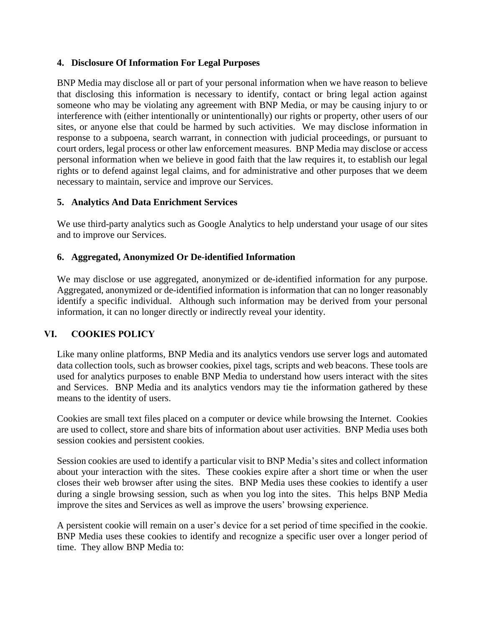### **4. Disclosure Of Information For Legal Purposes**

BNP Media may disclose all or part of your personal information when we have reason to believe that disclosing this information is necessary to identify, contact or bring legal action against someone who may be violating any agreement with BNP Media, or may be causing injury to or interference with (either intentionally or unintentionally) our rights or property, other users of our sites, or anyone else that could be harmed by such activities. We may disclose information in response to a subpoena, search warrant, in connection with judicial proceedings, or pursuant to court orders, legal process or other law enforcement measures. BNP Media may disclose or access personal information when we believe in good faith that the law requires it, to establish our legal rights or to defend against legal claims, and for administrative and other purposes that we deem necessary to maintain, service and improve our Services.

### **5. Analytics And Data Enrichment Services**

We use third-party analytics such as Google Analytics to help understand your usage of our sites and to improve our Services.

### **6. Aggregated, Anonymized Or De-identified Information**

We may disclose or use aggregated, anonymized or de-identified information for any purpose. Aggregated, anonymized or de-identified information is information that can no longer reasonably identify a specific individual. Although such information may be derived from your personal information, it can no longer directly or indirectly reveal your identity.

## <span id="page-6-0"></span>**VI. COOKIES POLICY**

Like many online platforms, BNP Media and its analytics vendors use server logs and automated data collection tools, such as browser cookies, pixel tags, scripts and web beacons. These tools are used for analytics purposes to enable BNP Media to understand how users interact with the sites and Services. BNP Media and its analytics vendors may tie the information gathered by these means to the identity of users.

Cookies are small text files placed on a computer or device while browsing the Internet. Cookies are used to collect, store and share bits of information about user activities. BNP Media uses both session cookies and persistent cookies.

Session cookies are used to identify a particular visit to BNP Media's sites and collect information about your interaction with the sites. These cookies expire after a short time or when the user closes their web browser after using the sites. BNP Media uses these cookies to identify a user during a single browsing session, such as when you log into the sites. This helps BNP Media improve the sites and Services as well as improve the users' browsing experience.

A persistent cookie will remain on a user's device for a set period of time specified in the cookie. BNP Media uses these cookies to identify and recognize a specific user over a longer period of time. They allow BNP Media to: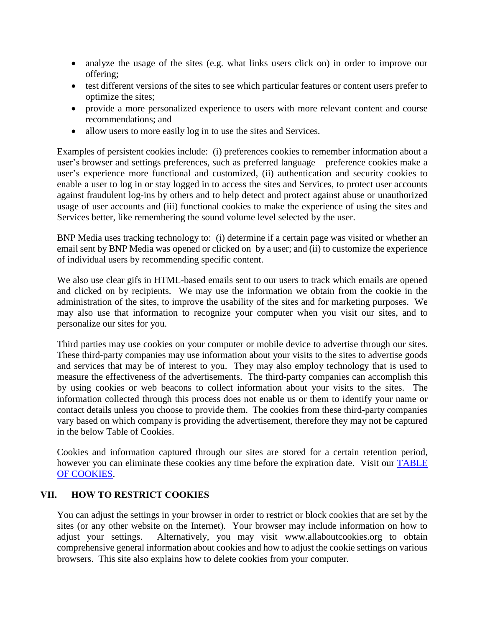- analyze the usage of the sites (e.g. what links users click on) in order to improve our offering;
- test different versions of the sites to see which particular features or content users prefer to optimize the sites;
- provide a more personalized experience to users with more relevant content and course recommendations; and
- allow users to more easily log in to use the sites and Services.

Examples of persistent cookies include: (i) preferences cookies to remember information about a user's browser and settings preferences, such as preferred language – preference cookies make a user's experience more functional and customized, (ii) authentication and security cookies to enable a user to log in or stay logged in to access the sites and Services, to protect user accounts against fraudulent log-ins by others and to help detect and protect against abuse or unauthorized usage of user accounts and (iii) functional cookies to make the experience of using the sites and Services better, like remembering the sound volume level selected by the user.

BNP Media uses tracking technology to: (i) determine if a certain page was visited or whether an email sent by BNP Media was opened or clicked on by a user; and (ii) to customize the experience of individual users by recommending specific content.

We also use clear gifs in HTML-based emails sent to our users to track which emails are opened and clicked on by recipients. We may use the information we obtain from the cookie in the administration of the sites, to improve the usability of the sites and for marketing purposes. We may also use that information to recognize your computer when you visit our sites, and to personalize our sites for you.

Third parties may use cookies on your computer or mobile device to advertise through our sites. These third-party companies may use information about your visits to the sites to advertise goods and services that may be of interest to you. They may also employ technology that is used to measure the effectiveness of the advertisements. The third-party companies can accomplish this by using cookies or web beacons to collect information about your visits to the sites. The information collected through this process does not enable us or them to identify your name or contact details unless you choose to provide them. The cookies from these third-party companies vary based on which company is providing the advertisement, therefore they may not be captured in the below Table of Cookies.

Cookies and information captured through our sites are stored for a certain retention period, however you can eliminate these cookies any time before the expiration date. Visit our **TABLE** [OF COOKIES.](https://www.bnpmedia.com/cookies)

## <span id="page-7-0"></span>**VII. HOW TO RESTRICT COOKIES**

You can adjust the settings in your browser in order to restrict or block cookies that are set by the sites (or any other website on the Internet). Your browser may include information on how to adjust your settings. Alternatively, you may visit www.allaboutcookies.org to obtain comprehensive general information about cookies and how to adjust the cookie settings on various browsers. This site also explains how to delete cookies from your computer.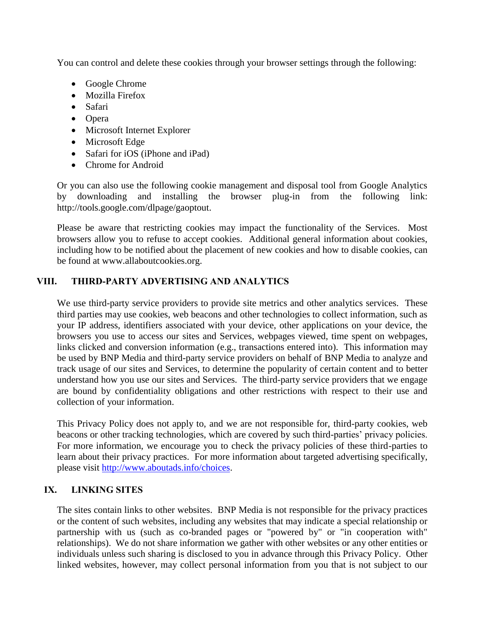You can control and delete these cookies through your browser settings through the following:

- Google Chrome
- Mozilla Firefox
- Safari
- Opera
- Microsoft Internet Explorer
- Microsoft Edge
- Safari for iOS (iPhone and iPad)
- Chrome for Android

Or you can also use the following cookie management and disposal tool from Google Analytics by downloading and installing the browser plug-in from the following link: http://tools.google.com/dlpage/gaoptout.

Please be aware that restricting cookies may impact the functionality of the Services. Most browsers allow you to refuse to accept cookies. Additional general information about cookies, including how to be notified about the placement of new cookies and how to disable cookies, can be found at www.allaboutcookies.org.

# <span id="page-8-0"></span>**VIII. THIRD-PARTY ADVERTISING AND ANALYTICS**

We use third-party service providers to provide site metrics and other analytics services. These third parties may use cookies, web beacons and other technologies to collect information, such as your IP address, identifiers associated with your device, other applications on your device, the browsers you use to access our sites and Services, webpages viewed, time spent on webpages, links clicked and conversion information (e.g., transactions entered into). This information may be used by BNP Media and third-party service providers on behalf of BNP Media to analyze and track usage of our sites and Services, to determine the popularity of certain content and to better understand how you use our sites and Services. The third-party service providers that we engage are bound by confidentiality obligations and other restrictions with respect to their use and collection of your information.

This Privacy Policy does not apply to, and we are not responsible for, third-party cookies, web beacons or other tracking technologies, which are covered by such third-parties' privacy policies. For more information, we encourage you to check the privacy policies of these third-parties to learn about their privacy practices. For more information about targeted advertising specifically, please visit http://www.aboutads.info/choices.

# <span id="page-8-1"></span>**IX. LINKING SITES**

The sites contain links to other websites. BNP Media is not responsible for the privacy practices or the content of such websites, including any websites that may indicate a special relationship or partnership with us (such as co-branded pages or "powered by" or "in cooperation with" relationships). We do not share information we gather with other websites or any other entities or individuals unless such sharing is disclosed to you in advance through this Privacy Policy. Other linked websites, however, may collect personal information from you that is not subject to our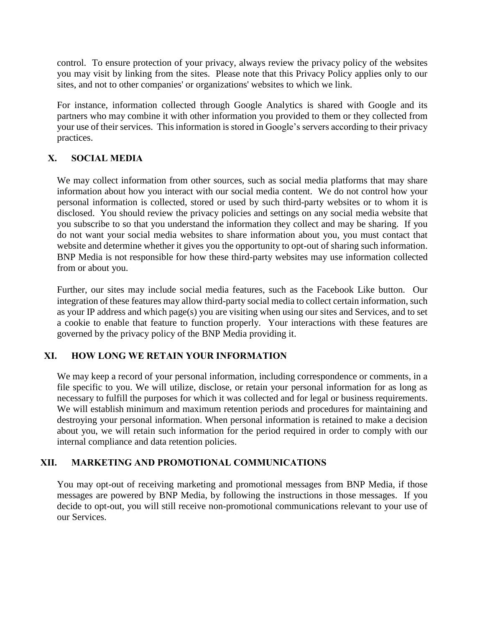control. To ensure protection of your privacy, always review the privacy policy of the websites you may visit by linking from the sites. Please note that this Privacy Policy applies only to our sites, and not to other companies' or organizations' websites to which we link.

For instance, information collected through Google Analytics is shared with Google and its partners who may combine it with other information you provided to them or they collected from your use of their services. This information is stored in Google's servers according to their privacy practices.

# <span id="page-9-0"></span>**X. SOCIAL MEDIA**

We may collect information from other sources, such as social media platforms that may share information about how you interact with our social media content. We do not control how your personal information is collected, stored or used by such third-party websites or to whom it is disclosed. You should review the privacy policies and settings on any social media website that you subscribe to so that you understand the information they collect and may be sharing. If you do not want your social media websites to share information about you, you must contact that website and determine whether it gives you the opportunity to opt-out of sharing such information. BNP Media is not responsible for how these third-party websites may use information collected from or about you.

Further, our sites may include social media features, such as the Facebook Like button. Our integration of these features may allow third-party social media to collect certain information, such as your IP address and which page(s) you are visiting when using our sites and Services, and to set a cookie to enable that feature to function properly. Your interactions with these features are governed by the privacy policy of the BNP Media providing it.

## <span id="page-9-1"></span>**XI. HOW LONG WE RETAIN YOUR INFORMATION**

We may keep a record of your personal information, including correspondence or comments, in a file specific to you. We will utilize, disclose, or retain your personal information for as long as necessary to fulfill the purposes for which it was collected and for legal or business requirements. We will establish minimum and maximum retention periods and procedures for maintaining and destroying your personal information. When personal information is retained to make a decision about you, we will retain such information for the period required in order to comply with our internal compliance and data retention policies.

## <span id="page-9-2"></span>**XII. MARKETING AND PROMOTIONAL COMMUNICATIONS**

You may opt-out of receiving marketing and promotional messages from BNP Media, if those messages are powered by BNP Media, by following the instructions in those messages. If you decide to opt-out, you will still receive non-promotional communications relevant to your use of our Services.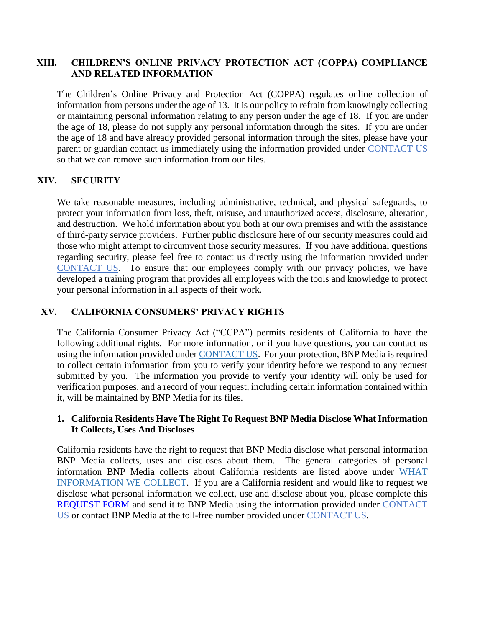### <span id="page-10-0"></span>**XIII. CHILDREN'S ONLINE PRIVACY PROTECTION ACT (COPPA) COMPLIANCE AND RELATED INFORMATION**

The Children's Online Privacy and Protection Act (COPPA) regulates online collection of information from persons under the age of 13. It is our policy to refrain from knowingly collecting or maintaining personal information relating to any person under the age of 18. If you are under the age of 18, please do not supply any personal information through the sites. If you are under the age of 18 and have already provided personal information through the sites, please have your parent or guardian contact us immediately using the information provided under [CONTACT](#page-12-1) US so that we can remove such information from our files.

### <span id="page-10-1"></span>**XIV. SECURITY**

We take reasonable measures, including administrative, technical, and physical safeguards, to protect your information from loss, theft, misuse, and unauthorized access, disclosure, alteration, and destruction. We hold information about you both at our own premises and with the assistance of third-party service providers. Further public disclosure here of our security measures could aid those who might attempt to circumvent those security measures. If you have additional questions regarding security, please feel free to contact us directly using the information provided under [CONTACT](#page-12-1) US. To ensure that our employees comply with our privacy policies, we have developed a training program that provides all employees with the tools and knowledge to protect your personal information in all aspects of their work.

## <span id="page-10-2"></span>**XV. CALIFORNIA CONSUMERS' PRIVACY RIGHTS**

The California Consumer Privacy Act ("CCPA") permits residents of California to have the following additional rights. For more information, or if you have questions, you can contact us using the information provided under [CONTACT](#page-12-1) US. For your protection, BNP Media is required to collect certain information from you to verify your identity before we respond to any request submitted by you. The information you provide to verify your identity will only be used for verification purposes, and a record of your request, including certain information contained within it, will be maintained by BNP Media for its files.

#### **1. California Residents Have The Right To Request BNP Media Disclose What Information It Collects, Uses And Discloses**

California residents have the right to request that BNP Media disclose what personal information BNP Media collects, uses and discloses about them. The general categories of personal information BNP Media collects about California residents are listed above under [WHAT](#page-2-1)  [INFORMATION WE COLLECT.](#page-2-1) If you are a California resident and would like to request we disclose what personal information we collect, use and disclose about you, please complete this [REQUEST FORM](http://www.bnpmedia.com/data-request) and send it to BNP Media using the information provided under [CONTACT](#page-12-1) [US](#page-12-1) or contact BNP Media at the toll-free number provided under [CONTACT](#page-12-1) US.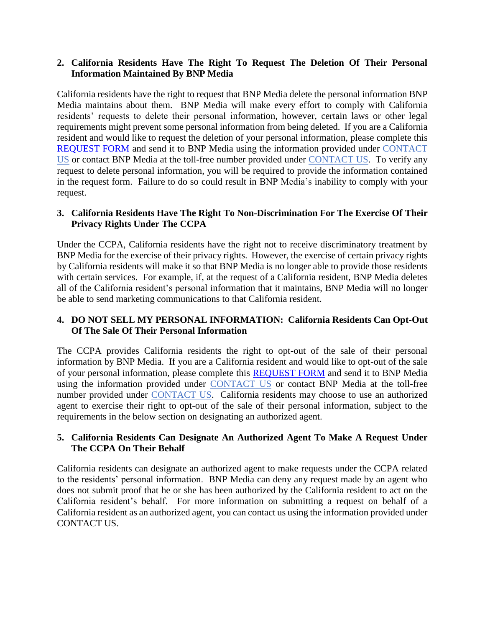## **2. California Residents Have The Right To Request The Deletion Of Their Personal Information Maintained By BNP Media**

California residents have the right to request that BNP Media delete the personal information BNP Media maintains about them. BNP Media will make every effort to comply with California residents' requests to delete their personal information, however, certain laws or other legal requirements might prevent some personal information from being deleted. If you are a California resident and would like to request the deletion of your personal information, please complete this [REQUEST FORM](http://www.bnpmedia.com/data-request) and send it to BNP Media using the information provided under [CONTACT](#page-12-1) [US](#page-12-1) or contact BNP Media at the toll-free number provided under [CONTACT](#page-12-1) US. To verify any request to delete personal information, you will be required to provide the information contained in the request form. Failure to do so could result in BNP Media's inability to comply with your request.

## **3. California Residents Have The Right To Non-Discrimination For The Exercise Of Their Privacy Rights Under The CCPA**

Under the CCPA, California residents have the right not to receive discriminatory treatment by BNP Media for the exercise of their privacy rights. However, the exercise of certain privacy rights by California residents will make it so that BNP Media is no longer able to provide those residents with certain services. For example, if, at the request of a California resident, BNP Media deletes all of the California resident's personal information that it maintains, BNP Media will no longer be able to send marketing communications to that California resident.

### **4. DO NOT SELL MY PERSONAL INFORMATION: California Residents Can Opt-Out Of The Sale Of Their Personal Information**

The CCPA provides California residents the right to opt-out of the sale of their personal information by BNP Media. If you are a California resident and would like to opt-out of the sale of your personal information, please complete this [REQUEST FORM](http://www.bnpmedia.com/data-request) and send it to BNP Media using the information provided under [CONTACT](#page-12-1) US or contact BNP Media at the toll-free number provided under [CONTACT](#page-12-1) US. California residents may choose to use an authorized agent to exercise their right to opt-out of the sale of their personal information, subject to the requirements in the below section on designating an authorized agent.

### **5. California Residents Can Designate An Authorized Agent To Make A Request Under The CCPA On Their Behalf**

California residents can designate an authorized agent to make requests under the CCPA related to the residents' personal information. BNP Media can deny any request made by an agent who does not submit proof that he or she has been authorized by the California resident to act on the California resident's behalf. For more information on submitting a request on behalf of a California resident as an authorized agent, you can contact us using the information provided under [CONTACT](#page-12-1) US.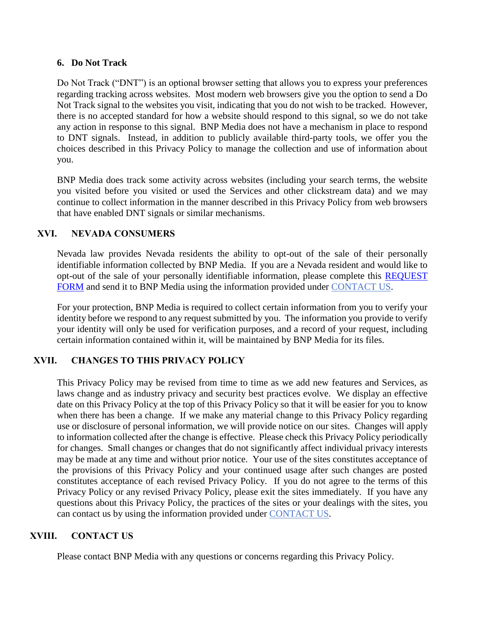#### **6. Do Not Track**

Do Not Track ("DNT") is an optional browser setting that allows you to express your preferences regarding tracking across websites. Most modern web browsers give you the option to send a Do Not Track signal to the websites you visit, indicating that you do not wish to be tracked. However, there is no accepted standard for how a website should respond to this signal, so we do not take any action in response to this signal. BNP Media does not have a mechanism in place to respond to DNT signals. Instead, in addition to publicly available third-party tools, we offer you the choices described in this Privacy Policy to manage the collection and use of information about you.

BNP Media does track some activity across websites (including your search terms, the website you visited before you visited or used the Services and other clickstream data) and we may continue to collect information in the manner described in this Privacy Policy from web browsers that have enabled DNT signals or similar mechanisms.

## <span id="page-12-0"></span>**XVI. NEVADA CONSUMERS**

Nevada law provides Nevada residents the ability to opt-out of the sale of their personally identifiable information collected by BNP Media. If you are a Nevada resident and would like to opt-out of the sale of your personally identifiable information, please complete this [REQUEST](http://www.bnpmedia.com/data-request)  [FORM](http://www.bnpmedia.com/data-request) and send it to BNP Media using the information provided under [CONTACT](#page-12-1) US.

For your protection, BNP Media is required to collect certain information from you to verify your identity before we respond to any request submitted by you. The information you provide to verify your identity will only be used for verification purposes, and a record of your request, including certain information contained within it, will be maintained by BNP Media for its files.

## **XVII. CHANGES TO THIS PRIVACY POLICY**

This Privacy Policy may be revised from time to time as we add new features and Services, as laws change and as industry privacy and security best practices evolve. We display an effective date on this Privacy Policy at the top of this Privacy Policy so that it will be easier for you to know when there has been a change. If we make any material change to this Privacy Policy regarding use or disclosure of personal information, we will provide notice on our sites. Changes will apply to information collected after the change is effective. Please check this Privacy Policy periodically for changes. Small changes or changes that do not significantly affect individual privacy interests may be made at any time and without prior notice. Your use of the sites constitutes acceptance of the provisions of this Privacy Policy and your continued usage after such changes are posted constitutes acceptance of each revised Privacy Policy. If you do not agree to the terms of this Privacy Policy or any revised Privacy Policy, please exit the sites immediately. If you have any questions about this Privacy Policy, the practices of the sites or your dealings with the sites, you can contact us by using the information provided under [CONTACT](#page-12-1) US.

## **XVIII. CONTACT US**

<span id="page-12-1"></span>Please contact BNP Media with any questions or concerns regarding this Privacy Policy.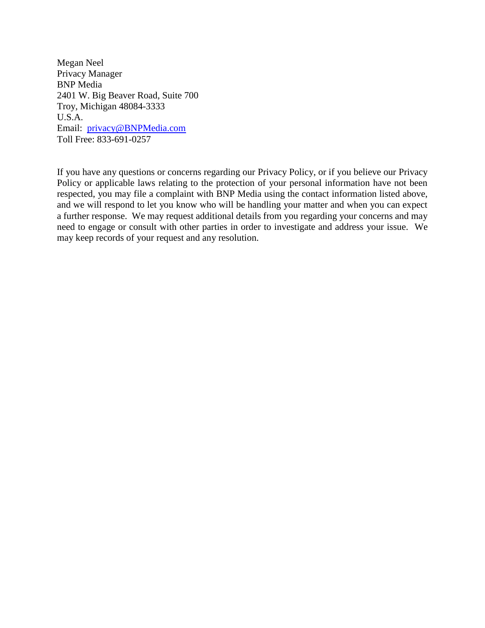Megan Neel Privacy Manager BNP Media 2401 W. Big Beaver Road, Suite 700 Troy, Michigan 48084-3333 U.S.A. Email: [privacy@BNPMedia.com](mailto:privacy@BNPMedia.com) Toll Free: 833-691-0257

If you have any questions or concerns regarding our Privacy Policy, or if you believe our Privacy Policy or applicable laws relating to the protection of your personal information have not been respected, you may file a complaint with BNP Media using the contact information listed above, and we will respond to let you know who will be handling your matter and when you can expect a further response. We may request additional details from you regarding your concerns and may need to engage or consult with other parties in order to investigate and address your issue. We may keep records of your request and any resolution.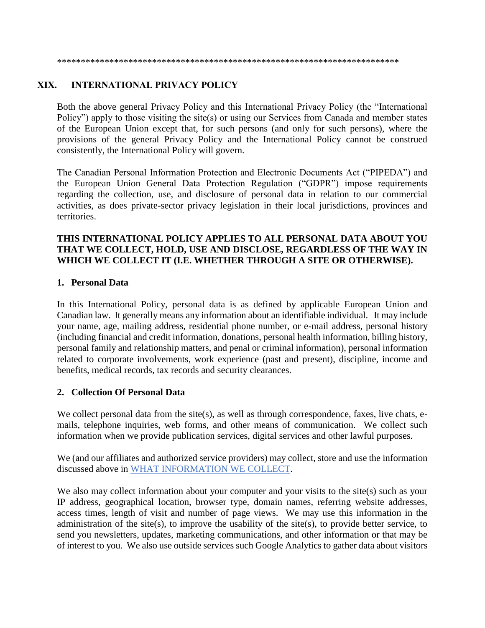\*\*\*\*\*\*\*\*\*\*\*\*\*\*\*\*\*\*\*\*\*\*\*\*\*\*\*\*\*\*\*\*\*\*\*\*\*\*\*\*\*\*\*\*\*\*\*\*\*\*\*\*\*\*\*\*\*\*\*\*\*\*\*\*\*\*\*\*\*\*\*\*

## <span id="page-14-0"></span>**XIX. INTERNATIONAL PRIVACY POLICY**

Both the above general Privacy Policy and this International Privacy Policy (the "International Policy") apply to those visiting the site(s) or using our Services from Canada and member states of the European Union except that, for such persons (and only for such persons), where the provisions of the general Privacy Policy and the International Policy cannot be construed consistently, the International Policy will govern.

The Canadian Personal Information Protection and Electronic Documents Act ("PIPEDA") and the European Union General Data Protection Regulation ("GDPR") impose requirements regarding the collection, use, and disclosure of personal data in relation to our commercial activities, as does private-sector privacy legislation in their local jurisdictions, provinces and territories.

#### **THIS INTERNATIONAL POLICY APPLIES TO ALL PERSONAL DATA ABOUT YOU THAT WE COLLECT, HOLD, USE AND DISCLOSE, REGARDLESS OF THE WAY IN WHICH WE COLLECT IT (I.E. WHETHER THROUGH A SITE OR OTHERWISE).**

#### **1. Personal Data**

In this International Policy, personal data is as defined by applicable European Union and Canadian law. It generally means any information about an identifiable individual. It may include your name, age, mailing address, residential phone number, or e-mail address, personal history (including financial and credit information, donations, personal health information, billing history, personal family and relationship matters, and penal or criminal information), personal information related to corporate involvements, work experience (past and present), discipline, income and benefits, medical records, tax records and security clearances.

#### **2. Collection Of Personal Data**

We collect personal data from the site(s), as well as through correspondence, faxes, live chats, emails, telephone inquiries, web forms, and other means of communication. We collect such information when we provide publication services, digital services and other lawful purposes.

We (and our affiliates and authorized service providers) may collect, store and use the information discussed above in [WHAT INFORMATION WE COLLECT.](#page-2-1)

We also may collect information about your computer and your visits to the site(s) such as your IP address, geographical location, browser type, domain names, referring website addresses, access times, length of visit and number of page views. We may use this information in the administration of the site(s), to improve the usability of the site(s), to provide better service, to send you newsletters, updates, marketing communications, and other information or that may be of interest to you. We also use outside services such Google Analytics to gather data about visitors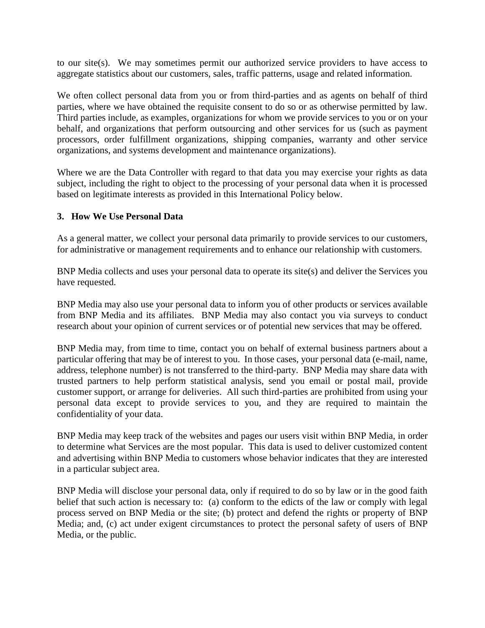to our site(s). We may sometimes permit our authorized service providers to have access to aggregate statistics about our customers, sales, traffic patterns, usage and related information.

We often collect personal data from you or from third-parties and as agents on behalf of third parties, where we have obtained the requisite consent to do so or as otherwise permitted by law. Third parties include, as examples, organizations for whom we provide services to you or on your behalf, and organizations that perform outsourcing and other services for us (such as payment processors, order fulfillment organizations, shipping companies, warranty and other service organizations, and systems development and maintenance organizations).

Where we are the Data Controller with regard to that data you may exercise your rights as data subject, including the right to object to the processing of your personal data when it is processed based on legitimate interests as provided in this International Policy below.

### **3. How We Use Personal Data**

As a general matter, we collect your personal data primarily to provide services to our customers, for administrative or management requirements and to enhance our relationship with customers.

BNP Media collects and uses your personal data to operate its site(s) and deliver the Services you have requested.

BNP Media may also use your personal data to inform you of other products or services available from BNP Media and its affiliates. BNP Media may also contact you via surveys to conduct research about your opinion of current services or of potential new services that may be offered.

BNP Media may, from time to time, contact you on behalf of external business partners about a particular offering that may be of interest to you. In those cases, your personal data (e-mail, name, address, telephone number) is not transferred to the third-party. BNP Media may share data with trusted partners to help perform statistical analysis, send you email or postal mail, provide customer support, or arrange for deliveries. All such third-parties are prohibited from using your personal data except to provide services to you, and they are required to maintain the confidentiality of your data.

BNP Media may keep track of the websites and pages our users visit within BNP Media, in order to determine what Services are the most popular. This data is used to deliver customized content and advertising within BNP Media to customers whose behavior indicates that they are interested in a particular subject area.

BNP Media will disclose your personal data, only if required to do so by law or in the good faith belief that such action is necessary to: (a) conform to the edicts of the law or comply with legal process served on BNP Media or the site; (b) protect and defend the rights or property of BNP Media; and, (c) act under exigent circumstances to protect the personal safety of users of BNP Media, or the public.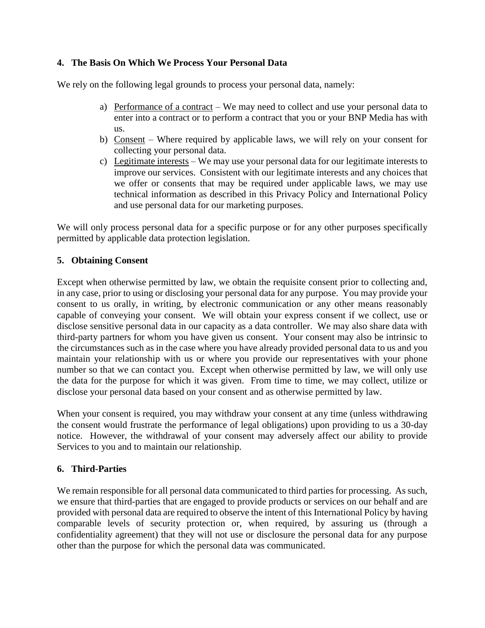## **4. The Basis On Which We Process Your Personal Data**

We rely on the following legal grounds to process your personal data, namely:

- a) Performance of a contract We may need to collect and use your personal data to enter into a contract or to perform a contract that you or your BNP Media has with us.
- b) Consent Where required by applicable laws, we will rely on your consent for collecting your personal data.
- c) Legitimate interests We may use your personal data for our legitimate interests to improve our services. Consistent with our legitimate interests and any choices that we offer or consents that may be required under applicable laws, we may use technical information as described in this Privacy Policy and International Policy and use personal data for our marketing purposes.

We will only process personal data for a specific purpose or for any other purposes specifically permitted by applicable data protection legislation.

## **5. Obtaining Consent**

Except when otherwise permitted by law, we obtain the requisite consent prior to collecting and, in any case, prior to using or disclosing your personal data for any purpose. You may provide your consent to us orally, in writing, by electronic communication or any other means reasonably capable of conveying your consent. We will obtain your express consent if we collect, use or disclose sensitive personal data in our capacity as a data controller. We may also share data with third-party partners for whom you have given us consent. Your consent may also be intrinsic to the circumstances such as in the case where you have already provided personal data to us and you maintain your relationship with us or where you provide our representatives with your phone number so that we can contact you. Except when otherwise permitted by law, we will only use the data for the purpose for which it was given. From time to time, we may collect, utilize or disclose your personal data based on your consent and as otherwise permitted by law.

When your consent is required, you may withdraw your consent at any time (unless withdrawing the consent would frustrate the performance of legal obligations) upon providing to us a 30-day notice. However, the withdrawal of your consent may adversely affect our ability to provide Services to you and to maintain our relationship.

## **6. Third-Parties**

We remain responsible for all personal data communicated to third parties for processing. As such, we ensure that third-parties that are engaged to provide products or services on our behalf and are provided with personal data are required to observe the intent of this International Policy by having comparable levels of security protection or, when required, by assuring us (through a confidentiality agreement) that they will not use or disclosure the personal data for any purpose other than the purpose for which the personal data was communicated.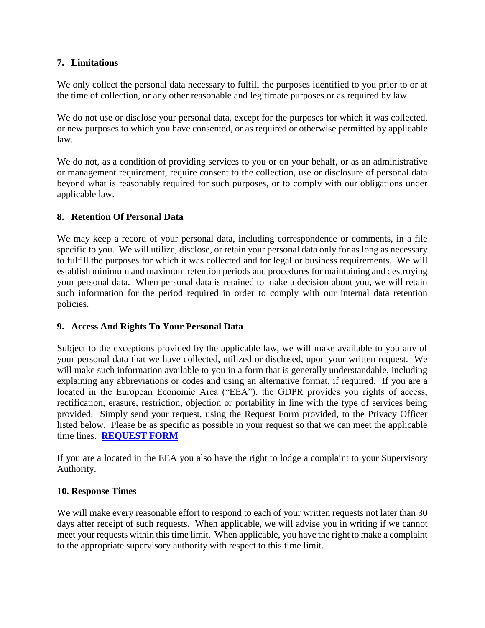## **7. Limitations**

We only collect the personal data necessary to fulfill the purposes identified to you prior to or at the time of collection, or any other reasonable and legitimate purposes or as required by law.

We do not use or disclose your personal data, except for the purposes for which it was collected, or new purposes to which you have consented, or as required or otherwise permitted by applicable law.

We do not, as a condition of providing services to you or on your behalf, or as an administrative or management requirement, require consent to the collection, use or disclosure of personal data beyond what is reasonably required for such purposes, or to comply with our obligations under applicable law.

## **8. Retention Of Personal Data**

We may keep a record of your personal data, including correspondence or comments, in a file specific to you. We will utilize, disclose, or retain your personal data only for as long as necessary to fulfill the purposes for which it was collected and for legal or business requirements. We will establish minimum and maximum retention periods and procedures for maintaining and destroying your personal data. When personal data is retained to make a decision about you, we will retain such information for the period required in order to comply with our internal data retention policies.

## **9. Access And Rights To Your Personal Data**

Subject to the exceptions provided by the applicable law, we will make available to you any of your personal data that we have collected, utilized or disclosed, upon your written request. We will make such information available to you in a form that is generally understandable, including explaining any abbreviations or codes and using an alternative format, if required. If you are a located in the European Economic Area ("EEA"), the GDPR provides you rights of access, rectification, erasure, restriction, objection or portability in line with the type of services being provided. Simply send your request, using the Request Form provided, to the Privacy Officer listed below. Please be as specific as possible in your request so that we can meet the applicable time lines. **[REQUEST FORM](http://www.bnpmedia.com/data-request)**

If you are a located in the EEA you also have the right to lodge a complaint to your Supervisory Authority.

## **10. Response Times**

We will make every reasonable effort to respond to each of your written requests not later than 30 days after receipt of such requests. When applicable, we will advise you in writing if we cannot meet your requests within this time limit. When applicable, you have the right to make a complaint to the appropriate supervisory authority with respect to this time limit.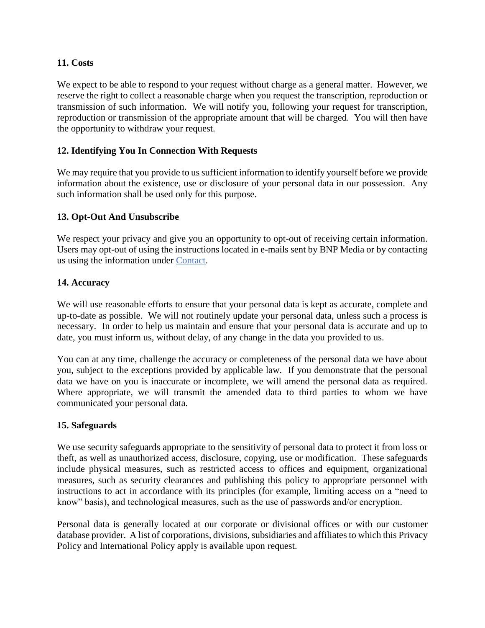## **11. Costs**

We expect to be able to respond to your request without charge as a general matter. However, we reserve the right to collect a reasonable charge when you request the transcription, reproduction or transmission of such information. We will notify you, following your request for transcription, reproduction or transmission of the appropriate amount that will be charged. You will then have the opportunity to withdraw your request.

## **12. Identifying You In Connection With Requests**

We may require that you provide to us sufficient information to identify yourself before we provide information about the existence, use or disclosure of your personal data in our possession. Any such information shall be used only for this purpose.

### **13. Opt-Out And Unsubscribe**

We respect your privacy and give you an opportunity to opt-out of receiving certain information. Users may opt-out of using the instructions located in e-mails sent by BNP Media or by contacting us using the information under [Contact.](#page-19-0)

### **14. Accuracy**

We will use reasonable efforts to ensure that your personal data is kept as accurate, complete and up-to-date as possible. We will not routinely update your personal data, unless such a process is necessary. In order to help us maintain and ensure that your personal data is accurate and up to date, you must inform us, without delay, of any change in the data you provided to us.

You can at any time, challenge the accuracy or completeness of the personal data we have about you, subject to the exceptions provided by applicable law. If you demonstrate that the personal data we have on you is inaccurate or incomplete, we will amend the personal data as required. Where appropriate, we will transmit the amended data to third parties to whom we have communicated your personal data.

#### **15. Safeguards**

We use security safeguards appropriate to the sensitivity of personal data to protect it from loss or theft, as well as unauthorized access, disclosure, copying, use or modification. These safeguards include physical measures, such as restricted access to offices and equipment, organizational measures, such as security clearances and publishing this policy to appropriate personnel with instructions to act in accordance with its principles (for example, limiting access on a "need to know" basis), and technological measures, such as the use of passwords and/or encryption.

Personal data is generally located at our corporate or divisional offices or with our customer database provider. A list of corporations, divisions, subsidiaries and affiliates to which this Privacy Policy and International Policy apply is available upon request.